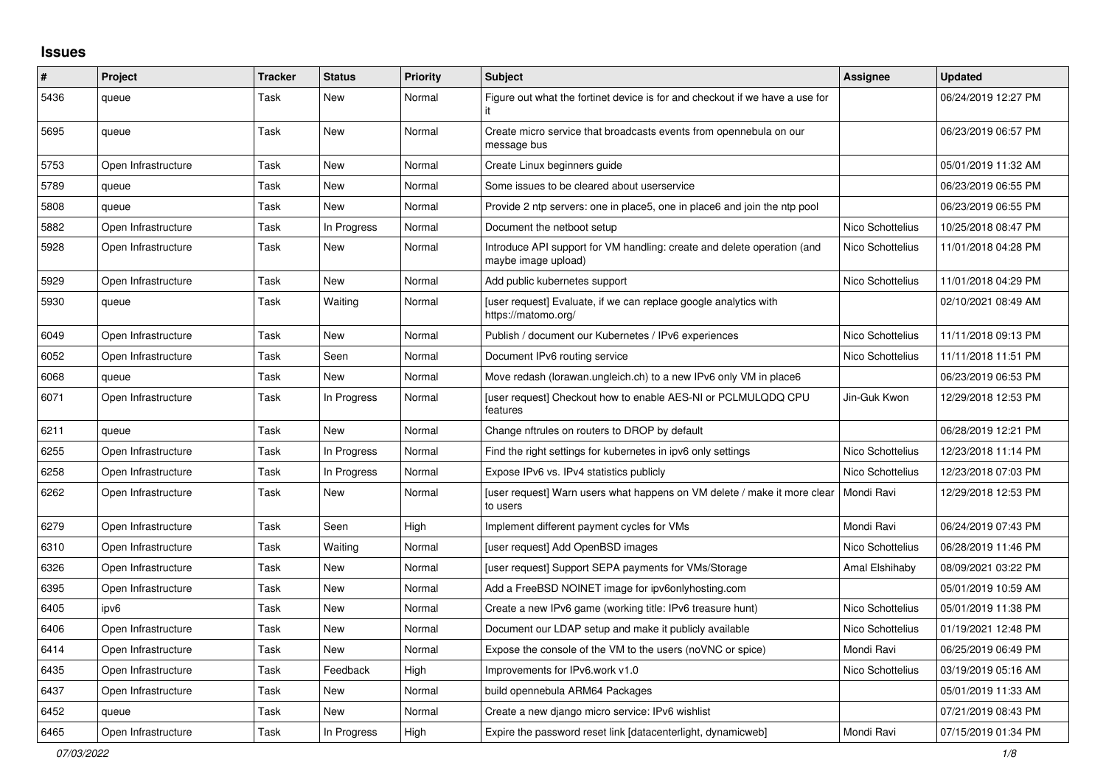## **Issues**

| $\#$ | Project             | <b>Tracker</b> | <b>Status</b> | <b>Priority</b> | <b>Subject</b>                                                                                 | <b>Assignee</b>  | <b>Updated</b>      |
|------|---------------------|----------------|---------------|-----------------|------------------------------------------------------------------------------------------------|------------------|---------------------|
| 5436 | queue               | Task           | New           | Normal          | Figure out what the fortinet device is for and checkout if we have a use for                   |                  | 06/24/2019 12:27 PM |
| 5695 | queue               | Task           | New           | Normal          | Create micro service that broadcasts events from opennebula on our<br>message bus              |                  | 06/23/2019 06:57 PM |
| 5753 | Open Infrastructure | Task           | <b>New</b>    | Normal          | Create Linux beginners guide                                                                   |                  | 05/01/2019 11:32 AM |
| 5789 | queue               | Task           | New           | Normal          | Some issues to be cleared about userservice                                                    |                  | 06/23/2019 06:55 PM |
| 5808 | queue               | Task           | New           | Normal          | Provide 2 ntp servers: one in place5, one in place6 and join the ntp pool                      |                  | 06/23/2019 06:55 PM |
| 5882 | Open Infrastructure | Task           | In Progress   | Normal          | Document the netboot setup                                                                     | Nico Schottelius | 10/25/2018 08:47 PM |
| 5928 | Open Infrastructure | Task           | New           | Normal          | Introduce API support for VM handling: create and delete operation (and<br>maybe image upload) | Nico Schottelius | 11/01/2018 04:28 PM |
| 5929 | Open Infrastructure | Task           | <b>New</b>    | Normal          | Add public kubernetes support                                                                  | Nico Schottelius | 11/01/2018 04:29 PM |
| 5930 | queue               | Task           | Waiting       | Normal          | [user request] Evaluate, if we can replace google analytics with<br>https://matomo.org/        |                  | 02/10/2021 08:49 AM |
| 6049 | Open Infrastructure | Task           | <b>New</b>    | Normal          | Publish / document our Kubernetes / IPv6 experiences                                           | Nico Schottelius | 11/11/2018 09:13 PM |
| 6052 | Open Infrastructure | Task           | Seen          | Normal          | Document IPv6 routing service                                                                  | Nico Schottelius | 11/11/2018 11:51 PM |
| 6068 | queue               | Task           | <b>New</b>    | Normal          | Move redash (lorawan.ungleich.ch) to a new IPv6 only VM in place6                              |                  | 06/23/2019 06:53 PM |
| 6071 | Open Infrastructure | Task           | In Progress   | Normal          | [user request] Checkout how to enable AES-NI or PCLMULQDQ CPU<br>features                      | Jin-Guk Kwon     | 12/29/2018 12:53 PM |
| 6211 | queue               | Task           | New           | Normal          | Change nftrules on routers to DROP by default                                                  |                  | 06/28/2019 12:21 PM |
| 6255 | Open Infrastructure | Task           | In Progress   | Normal          | Find the right settings for kubernetes in ipv6 only settings                                   | Nico Schottelius | 12/23/2018 11:14 PM |
| 6258 | Open Infrastructure | Task           | In Progress   | Normal          | Expose IPv6 vs. IPv4 statistics publicly                                                       | Nico Schottelius | 12/23/2018 07:03 PM |
| 6262 | Open Infrastructure | Task           | New           | Normal          | [user request] Warn users what happens on VM delete / make it more clear<br>to users           | Mondi Ravi       | 12/29/2018 12:53 PM |
| 6279 | Open Infrastructure | Task           | Seen          | High            | Implement different payment cycles for VMs                                                     | Mondi Ravi       | 06/24/2019 07:43 PM |
| 6310 | Open Infrastructure | Task           | Waiting       | Normal          | [user request] Add OpenBSD images                                                              | Nico Schottelius | 06/28/2019 11:46 PM |
| 6326 | Open Infrastructure | Task           | <b>New</b>    | Normal          | [user request] Support SEPA payments for VMs/Storage                                           | Amal Elshihaby   | 08/09/2021 03:22 PM |
| 6395 | Open Infrastructure | Task           | New           | Normal          | Add a FreeBSD NOINET image for ipv6onlyhosting.com                                             |                  | 05/01/2019 10:59 AM |
| 6405 | ipv6                | Task           | New           | Normal          | Create a new IPv6 game (working title: IPv6 treasure hunt)                                     | Nico Schottelius | 05/01/2019 11:38 PM |
| 6406 | Open Infrastructure | Task           | New           | Normal          | Document our LDAP setup and make it publicly available                                         | Nico Schottelius | 01/19/2021 12:48 PM |
| 6414 | Open Infrastructure | Task           | <b>New</b>    | Normal          | Expose the console of the VM to the users (noVNC or spice)                                     | Mondi Ravi       | 06/25/2019 06:49 PM |
| 6435 | Open Infrastructure | Task           | Feedback      | High            | Improvements for IPv6.work v1.0                                                                | Nico Schottelius | 03/19/2019 05:16 AM |
| 6437 | Open Infrastructure | Task           | <b>New</b>    | Normal          | build opennebula ARM64 Packages                                                                |                  | 05/01/2019 11:33 AM |
| 6452 | queue               | Task           | <b>New</b>    | Normal          | Create a new django micro service: IPv6 wishlist                                               |                  | 07/21/2019 08:43 PM |
| 6465 | Open Infrastructure | Task           | In Progress   | High            | Expire the password reset link [datacenterlight, dynamicweb]                                   | Mondi Ravi       | 07/15/2019 01:34 PM |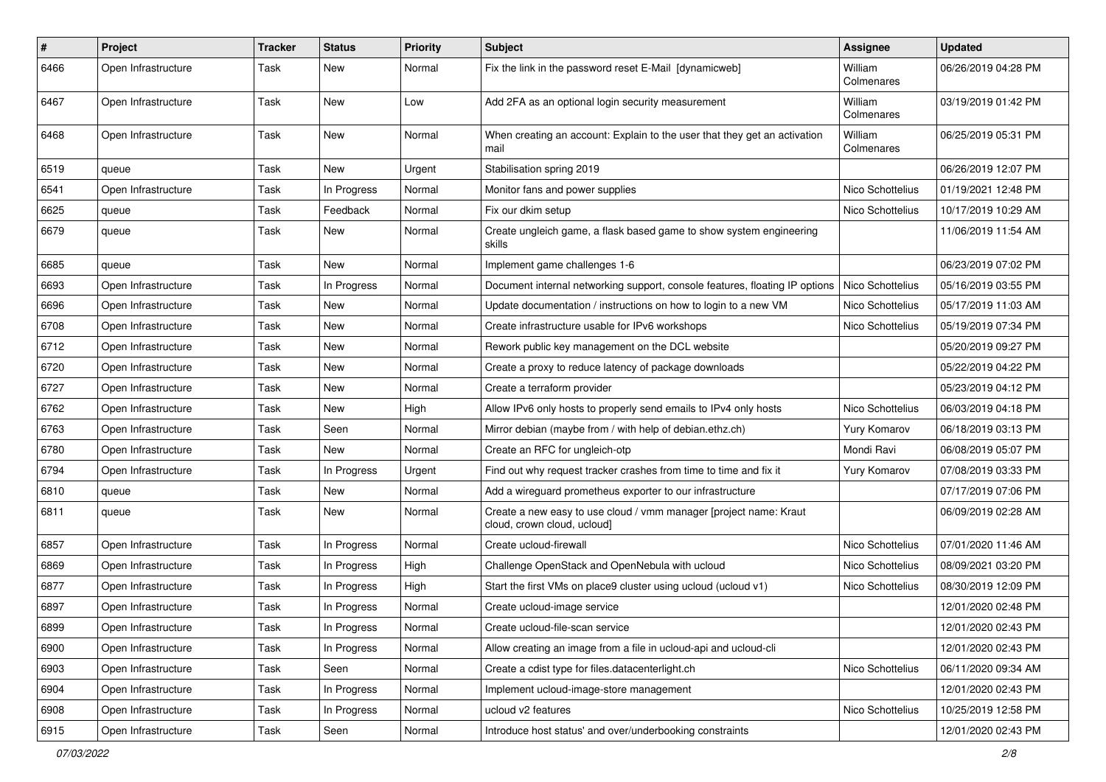| $\vert$ # | Project             | <b>Tracker</b> | <b>Status</b> | <b>Priority</b> | Subject                                                                                          | <b>Assignee</b>       | <b>Updated</b>      |
|-----------|---------------------|----------------|---------------|-----------------|--------------------------------------------------------------------------------------------------|-----------------------|---------------------|
| 6466      | Open Infrastructure | Task           | New           | Normal          | Fix the link in the password reset E-Mail [dynamicweb]                                           | William<br>Colmenares | 06/26/2019 04:28 PM |
| 6467      | Open Infrastructure | Task           | New           | Low             | Add 2FA as an optional login security measurement                                                | William<br>Colmenares | 03/19/2019 01:42 PM |
| 6468      | Open Infrastructure | Task           | New           | Normal          | When creating an account: Explain to the user that they get an activation<br>mail                | William<br>Colmenares | 06/25/2019 05:31 PM |
| 6519      | queue               | Task           | New           | Urgent          | Stabilisation spring 2019                                                                        |                       | 06/26/2019 12:07 PM |
| 6541      | Open Infrastructure | Task           | In Progress   | Normal          | Monitor fans and power supplies                                                                  | Nico Schottelius      | 01/19/2021 12:48 PM |
| 6625      | queue               | Task           | Feedback      | Normal          | Fix our dkim setup                                                                               | Nico Schottelius      | 10/17/2019 10:29 AM |
| 6679      | queue               | Task           | New           | Normal          | Create ungleich game, a flask based game to show system engineering<br>skills                    |                       | 11/06/2019 11:54 AM |
| 6685      | queue               | Task           | New           | Normal          | Implement game challenges 1-6                                                                    |                       | 06/23/2019 07:02 PM |
| 6693      | Open Infrastructure | Task           | In Progress   | Normal          | Document internal networking support, console features, floating IP options                      | Nico Schottelius      | 05/16/2019 03:55 PM |
| 6696      | Open Infrastructure | Task           | New           | Normal          | Update documentation / instructions on how to login to a new VM                                  | Nico Schottelius      | 05/17/2019 11:03 AM |
| 6708      | Open Infrastructure | Task           | New           | Normal          | Create infrastructure usable for IPv6 workshops                                                  | Nico Schottelius      | 05/19/2019 07:34 PM |
| 6712      | Open Infrastructure | Task           | New           | Normal          | Rework public key management on the DCL website                                                  |                       | 05/20/2019 09:27 PM |
| 6720      | Open Infrastructure | Task           | New           | Normal          | Create a proxy to reduce latency of package downloads                                            |                       | 05/22/2019 04:22 PM |
| 6727      | Open Infrastructure | Task           | New           | Normal          | Create a terraform provider                                                                      |                       | 05/23/2019 04:12 PM |
| 6762      | Open Infrastructure | Task           | New           | High            | Allow IPv6 only hosts to properly send emails to IPv4 only hosts                                 | Nico Schottelius      | 06/03/2019 04:18 PM |
| 6763      | Open Infrastructure | Task           | Seen          | Normal          | Mirror debian (maybe from / with help of debian.ethz.ch)                                         | Yury Komarov          | 06/18/2019 03:13 PM |
| 6780      | Open Infrastructure | Task           | New           | Normal          | Create an RFC for ungleich-otp                                                                   | Mondi Ravi            | 06/08/2019 05:07 PM |
| 6794      | Open Infrastructure | Task           | In Progress   | Urgent          | Find out why request tracker crashes from time to time and fix it                                | Yury Komarov          | 07/08/2019 03:33 PM |
| 6810      | queue               | Task           | New           | Normal          | Add a wireguard prometheus exporter to our infrastructure                                        |                       | 07/17/2019 07:06 PM |
| 6811      | queue               | Task           | New           | Normal          | Create a new easy to use cloud / vmm manager [project name: Kraut<br>cloud, crown cloud, ucloud] |                       | 06/09/2019 02:28 AM |
| 6857      | Open Infrastructure | Task           | In Progress   | Normal          | Create ucloud-firewall                                                                           | Nico Schottelius      | 07/01/2020 11:46 AM |
| 6869      | Open Infrastructure | Task           | In Progress   | High            | Challenge OpenStack and OpenNebula with ucloud                                                   | Nico Schottelius      | 08/09/2021 03:20 PM |
| 6877      | Open Infrastructure | Task           | In Progress   | High            | Start the first VMs on place9 cluster using ucloud (ucloud v1)                                   | Nico Schottelius      | 08/30/2019 12:09 PM |
| 6897      | Open Infrastructure | Task           | In Progress   | Normal          | Create ucloud-image service                                                                      |                       | 12/01/2020 02:48 PM |
| 6899      | Open Infrastructure | Task           | In Progress   | Normal          | Create ucloud-file-scan service                                                                  |                       | 12/01/2020 02:43 PM |
| 6900      | Open Infrastructure | Task           | In Progress   | Normal          | Allow creating an image from a file in ucloud-api and ucloud-cli                                 |                       | 12/01/2020 02:43 PM |
| 6903      | Open Infrastructure | Task           | Seen          | Normal          | Create a cdist type for files.datacenterlight.ch                                                 | Nico Schottelius      | 06/11/2020 09:34 AM |
| 6904      | Open Infrastructure | Task           | In Progress   | Normal          | Implement ucloud-image-store management                                                          |                       | 12/01/2020 02:43 PM |
| 6908      | Open Infrastructure | Task           | In Progress   | Normal          | ucloud v2 features                                                                               | Nico Schottelius      | 10/25/2019 12:58 PM |
| 6915      | Open Infrastructure | Task           | Seen          | Normal          | Introduce host status' and over/underbooking constraints                                         |                       | 12/01/2020 02:43 PM |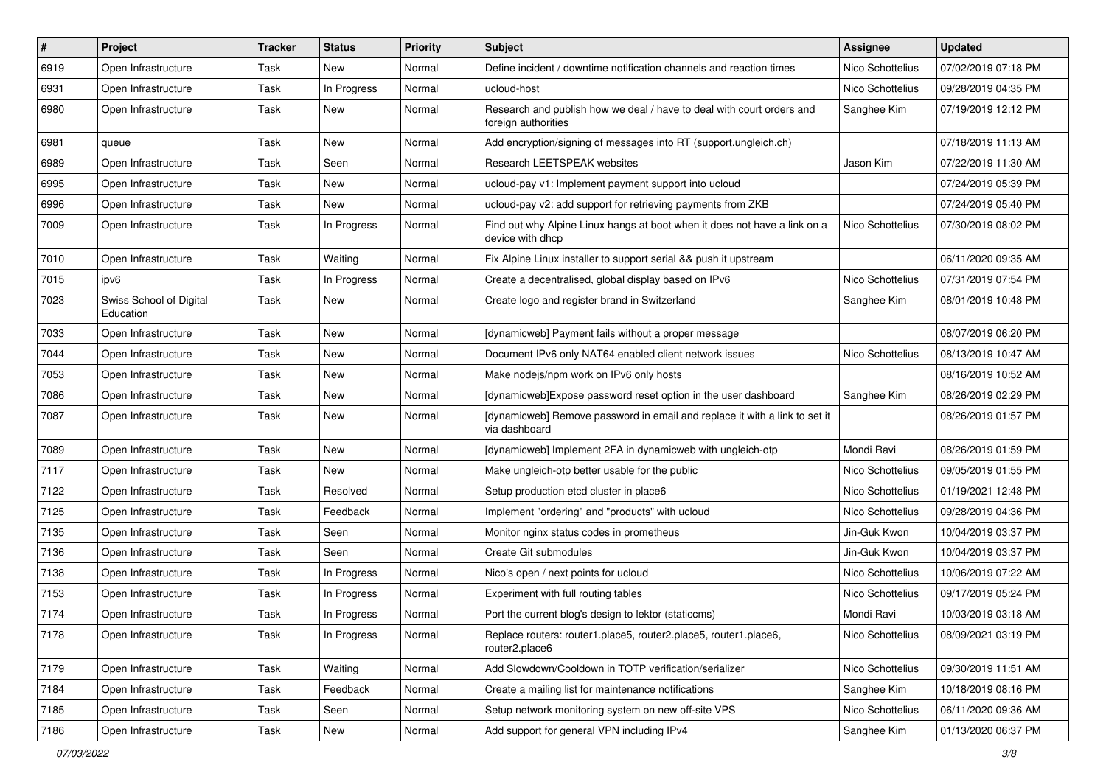| $\vert$ # | Project                              | <b>Tracker</b> | <b>Status</b> | <b>Priority</b> | Subject                                                                                       | Assignee         | <b>Updated</b>      |
|-----------|--------------------------------------|----------------|---------------|-----------------|-----------------------------------------------------------------------------------------------|------------------|---------------------|
| 6919      | Open Infrastructure                  | Task           | New           | Normal          | Define incident / downtime notification channels and reaction times                           | Nico Schottelius | 07/02/2019 07:18 PM |
| 6931      | Open Infrastructure                  | Task           | In Progress   | Normal          | ucloud-host                                                                                   | Nico Schottelius | 09/28/2019 04:35 PM |
| 6980      | Open Infrastructure                  | Task           | New           | Normal          | Research and publish how we deal / have to deal with court orders and<br>foreign authorities  | Sanghee Kim      | 07/19/2019 12:12 PM |
| 6981      | queue                                | Task           | New           | Normal          | Add encryption/signing of messages into RT (support.ungleich.ch)                              |                  | 07/18/2019 11:13 AM |
| 6989      | Open Infrastructure                  | Task           | Seen          | Normal          | Research LEETSPEAK websites                                                                   | Jason Kim        | 07/22/2019 11:30 AM |
| 6995      | Open Infrastructure                  | Task           | New           | Normal          | ucloud-pay v1: Implement payment support into ucloud                                          |                  | 07/24/2019 05:39 PM |
| 6996      | Open Infrastructure                  | Task           | New           | Normal          | ucloud-pay v2: add support for retrieving payments from ZKB                                   |                  | 07/24/2019 05:40 PM |
| 7009      | Open Infrastructure                  | Task           | In Progress   | Normal          | Find out why Alpine Linux hangs at boot when it does not have a link on a<br>device with dhcp | Nico Schottelius | 07/30/2019 08:02 PM |
| 7010      | Open Infrastructure                  | Task           | Waiting       | Normal          | Fix Alpine Linux installer to support serial && push it upstream                              |                  | 06/11/2020 09:35 AM |
| 7015      | ipv6                                 | Task           | In Progress   | Normal          | Create a decentralised, global display based on IPv6                                          | Nico Schottelius | 07/31/2019 07:54 PM |
| 7023      | Swiss School of Digital<br>Education | Task           | New           | Normal          | Create logo and register brand in Switzerland                                                 | Sanghee Kim      | 08/01/2019 10:48 PM |
| 7033      | Open Infrastructure                  | Task           | <b>New</b>    | Normal          | [dynamicweb] Payment fails without a proper message                                           |                  | 08/07/2019 06:20 PM |
| 7044      | Open Infrastructure                  | Task           | New           | Normal          | Document IPv6 only NAT64 enabled client network issues                                        | Nico Schottelius | 08/13/2019 10:47 AM |
| 7053      | Open Infrastructure                  | Task           | New           | Normal          | Make nodejs/npm work on IPv6 only hosts                                                       |                  | 08/16/2019 10:52 AM |
| 7086      | Open Infrastructure                  | Task           | New           | Normal          | [dynamicweb]Expose password reset option in the user dashboard                                | Sanghee Kim      | 08/26/2019 02:29 PM |
| 7087      | Open Infrastructure                  | Task           | New           | Normal          | [dynamicweb] Remove password in email and replace it with a link to set it<br>via dashboard   |                  | 08/26/2019 01:57 PM |
| 7089      | Open Infrastructure                  | Task           | <b>New</b>    | Normal          | [dynamicweb] Implement 2FA in dynamicweb with ungleich-otp                                    | Mondi Ravi       | 08/26/2019 01:59 PM |
| 7117      | Open Infrastructure                  | Task           | New           | Normal          | Make ungleich-otp better usable for the public                                                | Nico Schottelius | 09/05/2019 01:55 PM |
| 7122      | Open Infrastructure                  | Task           | Resolved      | Normal          | Setup production etcd cluster in place6                                                       | Nico Schottelius | 01/19/2021 12:48 PM |
| 7125      | Open Infrastructure                  | Task           | Feedback      | Normal          | Implement "ordering" and "products" with ucloud                                               | Nico Schottelius | 09/28/2019 04:36 PM |
| 7135      | Open Infrastructure                  | Task           | Seen          | Normal          | Monitor nginx status codes in prometheus                                                      | Jin-Guk Kwon     | 10/04/2019 03:37 PM |
| 7136      | Open Infrastructure                  | Task           | Seen          | Normal          | Create Git submodules                                                                         | Jin-Guk Kwon     | 10/04/2019 03:37 PM |
| 7138      | Open Infrastructure                  | Task           | In Progress   | Normal          | Nico's open / next points for ucloud                                                          | Nico Schottelius | 10/06/2019 07:22 AM |
| 7153      | Open Infrastructure                  | Task           | In Progress   | Normal          | Experiment with full routing tables                                                           | Nico Schottelius | 09/17/2019 05:24 PM |
| 7174      | Open Infrastructure                  | Task           | In Progress   | Normal          | Port the current blog's design to lektor (staticcms)                                          | Mondi Ravi       | 10/03/2019 03:18 AM |
| 7178      | Open Infrastructure                  | Task           | In Progress   | Normal          | Replace routers: router1.place5, router2.place5, router1.place6,<br>router2.place6            | Nico Schottelius | 08/09/2021 03:19 PM |
| 7179      | Open Infrastructure                  | Task           | Waiting       | Normal          | Add Slowdown/Cooldown in TOTP verification/serializer                                         | Nico Schottelius | 09/30/2019 11:51 AM |
| 7184      | Open Infrastructure                  | Task           | Feedback      | Normal          | Create a mailing list for maintenance notifications                                           | Sanghee Kim      | 10/18/2019 08:16 PM |
| 7185      | Open Infrastructure                  | Task           | Seen          | Normal          | Setup network monitoring system on new off-site VPS                                           | Nico Schottelius | 06/11/2020 09:36 AM |
| 7186      | Open Infrastructure                  | Task           | New           | Normal          | Add support for general VPN including IPv4                                                    | Sanghee Kim      | 01/13/2020 06:37 PM |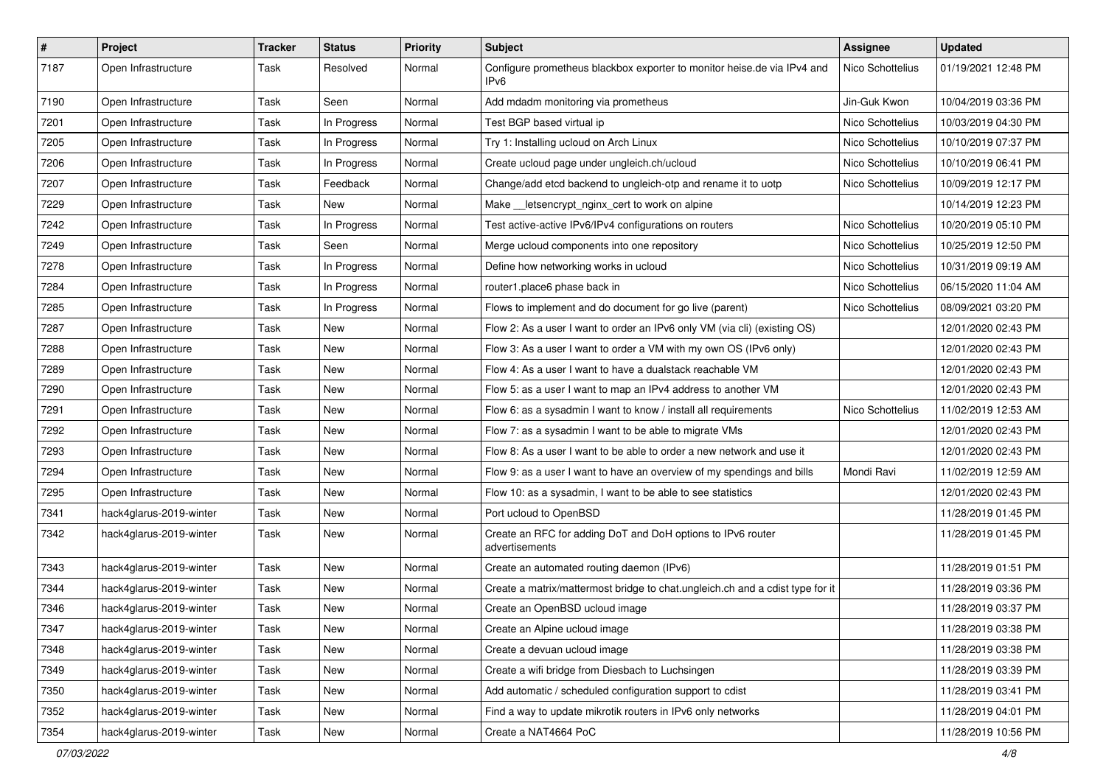| $\vert$ # | Project                 | <b>Tracker</b> | <b>Status</b> | <b>Priority</b> | Subject                                                                                     | <b>Assignee</b>  | <b>Updated</b>      |
|-----------|-------------------------|----------------|---------------|-----------------|---------------------------------------------------------------------------------------------|------------------|---------------------|
| 7187      | Open Infrastructure     | Task           | Resolved      | Normal          | Configure prometheus blackbox exporter to monitor heise.de via IPv4 and<br>IP <sub>v6</sub> | Nico Schottelius | 01/19/2021 12:48 PM |
| 7190      | Open Infrastructure     | Task           | Seen          | Normal          | Add mdadm monitoring via prometheus                                                         | Jin-Guk Kwon     | 10/04/2019 03:36 PM |
| 7201      | Open Infrastructure     | Task           | In Progress   | Normal          | Test BGP based virtual ip                                                                   | Nico Schottelius | 10/03/2019 04:30 PM |
| 7205      | Open Infrastructure     | Task           | In Progress   | Normal          | Try 1: Installing ucloud on Arch Linux                                                      | Nico Schottelius | 10/10/2019 07:37 PM |
| 7206      | Open Infrastructure     | Task           | In Progress   | Normal          | Create ucloud page under ungleich.ch/ucloud                                                 | Nico Schottelius | 10/10/2019 06:41 PM |
| 7207      | Open Infrastructure     | Task           | Feedback      | Normal          | Change/add etcd backend to ungleich-otp and rename it to uotp                               | Nico Schottelius | 10/09/2019 12:17 PM |
| 7229      | Open Infrastructure     | Task           | New           | Normal          | Make _letsencrypt_nginx_cert to work on alpine                                              |                  | 10/14/2019 12:23 PM |
| 7242      | Open Infrastructure     | Task           | In Progress   | Normal          | Test active-active IPv6/IPv4 configurations on routers                                      | Nico Schottelius | 10/20/2019 05:10 PM |
| 7249      | Open Infrastructure     | Task           | Seen          | Normal          | Merge ucloud components into one repository                                                 | Nico Schottelius | 10/25/2019 12:50 PM |
| 7278      | Open Infrastructure     | Task           | In Progress   | Normal          | Define how networking works in ucloud                                                       | Nico Schottelius | 10/31/2019 09:19 AM |
| 7284      | Open Infrastructure     | Task           | In Progress   | Normal          | router1.place6 phase back in                                                                | Nico Schottelius | 06/15/2020 11:04 AM |
| 7285      | Open Infrastructure     | Task           | In Progress   | Normal          | Flows to implement and do document for go live (parent)                                     | Nico Schottelius | 08/09/2021 03:20 PM |
| 7287      | Open Infrastructure     | Task           | New           | Normal          | Flow 2: As a user I want to order an IPv6 only VM (via cli) (existing OS)                   |                  | 12/01/2020 02:43 PM |
| 7288      | Open Infrastructure     | Task           | <b>New</b>    | Normal          | Flow 3: As a user I want to order a VM with my own OS (IPv6 only)                           |                  | 12/01/2020 02:43 PM |
| 7289      | Open Infrastructure     | Task           | New           | Normal          | Flow 4: As a user I want to have a dualstack reachable VM                                   |                  | 12/01/2020 02:43 PM |
| 7290      | Open Infrastructure     | Task           | New           | Normal          | Flow 5: as a user I want to map an IPv4 address to another VM                               |                  | 12/01/2020 02:43 PM |
| 7291      | Open Infrastructure     | Task           | <b>New</b>    | Normal          | Flow 6: as a sysadmin I want to know / install all requirements                             | Nico Schottelius | 11/02/2019 12:53 AM |
| 7292      | Open Infrastructure     | Task           | New           | Normal          | Flow 7: as a sysadmin I want to be able to migrate VMs                                      |                  | 12/01/2020 02:43 PM |
| 7293      | Open Infrastructure     | Task           | New           | Normal          | Flow 8: As a user I want to be able to order a new network and use it                       |                  | 12/01/2020 02:43 PM |
| 7294      | Open Infrastructure     | Task           | <b>New</b>    | Normal          | Flow 9: as a user I want to have an overview of my spendings and bills                      | Mondi Ravi       | 11/02/2019 12:59 AM |
| 7295      | Open Infrastructure     | Task           | New           | Normal          | Flow 10: as a sysadmin, I want to be able to see statistics                                 |                  | 12/01/2020 02:43 PM |
| 7341      | hack4glarus-2019-winter | Task           | New           | Normal          | Port ucloud to OpenBSD                                                                      |                  | 11/28/2019 01:45 PM |
| 7342      | hack4glarus-2019-winter | Task           | New           | Normal          | Create an RFC for adding DoT and DoH options to IPv6 router<br>advertisements               |                  | 11/28/2019 01:45 PM |
| 7343      | hack4glarus-2019-winter | Task           | <b>New</b>    | Normal          | Create an automated routing daemon (IPv6)                                                   |                  | 11/28/2019 01:51 PM |
| 7344      | hack4glarus-2019-winter | Task           | New           | Normal          | Create a matrix/mattermost bridge to chat.ungleich.ch and a cdist type for it               |                  | 11/28/2019 03:36 PM |
| 7346      | hack4glarus-2019-winter | Task           | New           | Normal          | Create an OpenBSD ucloud image                                                              |                  | 11/28/2019 03:37 PM |
| 7347      | hack4glarus-2019-winter | Task           | New           | Normal          | Create an Alpine ucloud image                                                               |                  | 11/28/2019 03:38 PM |
| 7348      | hack4glarus-2019-winter | Task           | New           | Normal          | Create a devuan ucloud image                                                                |                  | 11/28/2019 03:38 PM |
| 7349      | hack4glarus-2019-winter | Task           | New           | Normal          | Create a wifi bridge from Diesbach to Luchsingen                                            |                  | 11/28/2019 03:39 PM |
| 7350      | hack4glarus-2019-winter | Task           | New           | Normal          | Add automatic / scheduled configuration support to cdist                                    |                  | 11/28/2019 03:41 PM |
| 7352      | hack4glarus-2019-winter | Task           | New           | Normal          | Find a way to update mikrotik routers in IPv6 only networks                                 |                  | 11/28/2019 04:01 PM |
| 7354      | hack4glarus-2019-winter | Task           | New           | Normal          | Create a NAT4664 PoC                                                                        |                  | 11/28/2019 10:56 PM |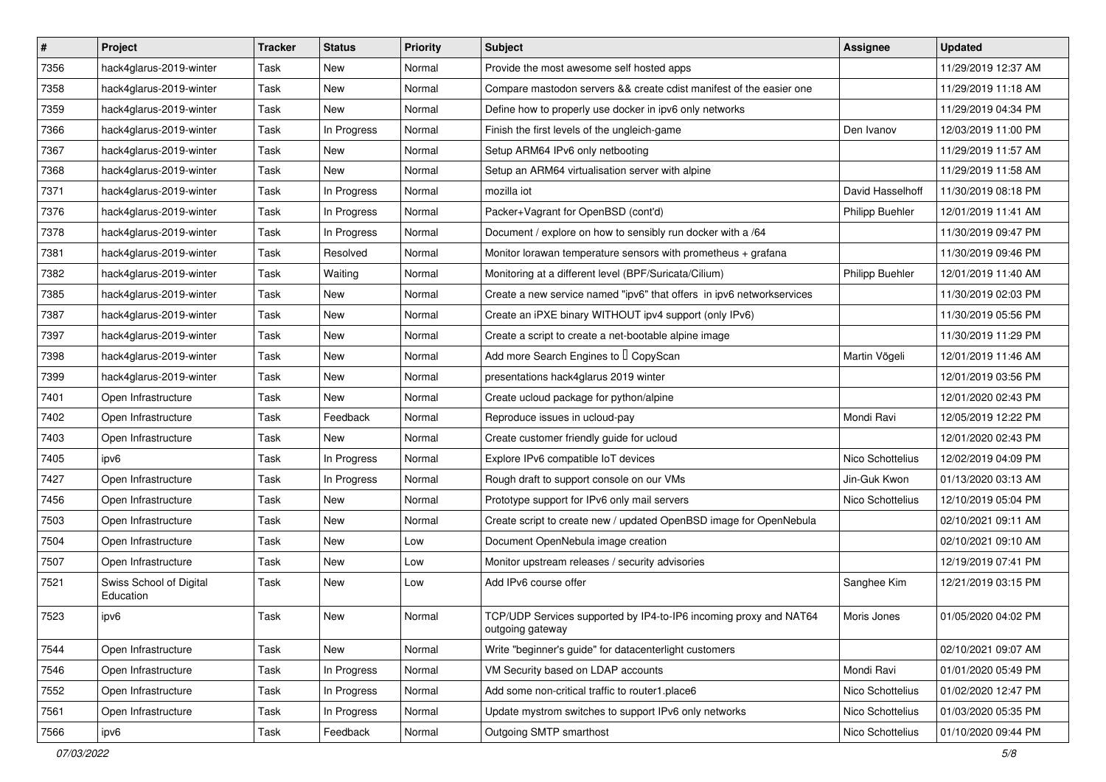| $\vert$ # | Project                              | <b>Tracker</b> | <b>Status</b> | <b>Priority</b> | Subject                                                                               | <b>Assignee</b>        | <b>Updated</b>      |
|-----------|--------------------------------------|----------------|---------------|-----------------|---------------------------------------------------------------------------------------|------------------------|---------------------|
| 7356      | hack4glarus-2019-winter              | Task           | New           | Normal          | Provide the most awesome self hosted apps                                             |                        | 11/29/2019 12:37 AM |
| 7358      | hack4glarus-2019-winter              | Task           | New           | Normal          | Compare mastodon servers && create cdist manifest of the easier one                   |                        | 11/29/2019 11:18 AM |
| 7359      | hack4glarus-2019-winter              | Task           | New           | Normal          | Define how to properly use docker in ipv6 only networks                               |                        | 11/29/2019 04:34 PM |
| 7366      | hack4glarus-2019-winter              | Task           | In Progress   | Normal          | Finish the first levels of the ungleich-game                                          | Den Ivanov             | 12/03/2019 11:00 PM |
| 7367      | hack4glarus-2019-winter              | Task           | New           | Normal          | Setup ARM64 IPv6 only netbooting                                                      |                        | 11/29/2019 11:57 AM |
| 7368      | hack4glarus-2019-winter              | Task           | New           | Normal          | Setup an ARM64 virtualisation server with alpine                                      |                        | 11/29/2019 11:58 AM |
| 7371      | hack4glarus-2019-winter              | Task           | In Progress   | Normal          | mozilla iot                                                                           | David Hasselhoff       | 11/30/2019 08:18 PM |
| 7376      | hack4glarus-2019-winter              | Task           | In Progress   | Normal          | Packer+Vagrant for OpenBSD (cont'd)                                                   | Philipp Buehler        | 12/01/2019 11:41 AM |
| 7378      | hack4glarus-2019-winter              | Task           | In Progress   | Normal          | Document / explore on how to sensibly run docker with a /64                           |                        | 11/30/2019 09:47 PM |
| 7381      | hack4glarus-2019-winter              | Task           | Resolved      | Normal          | Monitor lorawan temperature sensors with prometheus $+$ grafana                       |                        | 11/30/2019 09:46 PM |
| 7382      | hack4glarus-2019-winter              | Task           | Waiting       | Normal          | Monitoring at a different level (BPF/Suricata/Cilium)                                 | <b>Philipp Buehler</b> | 12/01/2019 11:40 AM |
| 7385      | hack4glarus-2019-winter              | Task           | New           | Normal          | Create a new service named "ipv6" that offers in ipv6 networkservices                 |                        | 11/30/2019 02:03 PM |
| 7387      | hack4glarus-2019-winter              | Task           | <b>New</b>    | Normal          | Create an iPXE binary WITHOUT ipv4 support (only IPv6)                                |                        | 11/30/2019 05:56 PM |
| 7397      | hack4glarus-2019-winter              | Task           | New           | Normal          | Create a script to create a net-bootable alpine image                                 |                        | 11/30/2019 11:29 PM |
| 7398      | hack4glarus-2019-winter              | Task           | New           | Normal          | Add more Search Engines to I CopyScan                                                 | Martin Vögeli          | 12/01/2019 11:46 AM |
| 7399      | hack4glarus-2019-winter              | Task           | New           | Normal          | presentations hack4glarus 2019 winter                                                 |                        | 12/01/2019 03:56 PM |
| 7401      | Open Infrastructure                  | Task           | New           | Normal          | Create ucloud package for python/alpine                                               |                        | 12/01/2020 02:43 PM |
| 7402      | Open Infrastructure                  | Task           | Feedback      | Normal          | Reproduce issues in ucloud-pay                                                        | Mondi Ravi             | 12/05/2019 12:22 PM |
| 7403      | Open Infrastructure                  | Task           | New           | Normal          | Create customer friendly guide for ucloud                                             |                        | 12/01/2020 02:43 PM |
| 7405      | ipv6                                 | Task           | In Progress   | Normal          | Explore IPv6 compatible IoT devices                                                   | Nico Schottelius       | 12/02/2019 04:09 PM |
| 7427      | Open Infrastructure                  | Task           | In Progress   | Normal          | Rough draft to support console on our VMs                                             | Jin-Guk Kwon           | 01/13/2020 03:13 AM |
| 7456      | Open Infrastructure                  | Task           | New           | Normal          | Prototype support for IPv6 only mail servers                                          | Nico Schottelius       | 12/10/2019 05:04 PM |
| 7503      | Open Infrastructure                  | Task           | New           | Normal          | Create script to create new / updated OpenBSD image for OpenNebula                    |                        | 02/10/2021 09:11 AM |
| 7504      | Open Infrastructure                  | Task           | New           | Low             | Document OpenNebula image creation                                                    |                        | 02/10/2021 09:10 AM |
| 7507      | Open Infrastructure                  | Task           | New           | Low             | Monitor upstream releases / security advisories                                       |                        | 12/19/2019 07:41 PM |
| 7521      | Swiss School of Digital<br>Education | Task           | New           | Low             | Add IPv6 course offer                                                                 | Sanghee Kim            | 12/21/2019 03:15 PM |
| 7523      | ipv6                                 | Task           | New           | Normal          | TCP/UDP Services supported by IP4-to-IP6 incoming proxy and NAT64<br>outgoing gateway | Moris Jones            | 01/05/2020 04:02 PM |
| 7544      | Open Infrastructure                  | Task           | New           | Normal          | Write "beginner's guide" for datacenterlight customers                                |                        | 02/10/2021 09:07 AM |
| 7546      | Open Infrastructure                  | Task           | In Progress   | Normal          | VM Security based on LDAP accounts                                                    | Mondi Ravi             | 01/01/2020 05:49 PM |
| 7552      | Open Infrastructure                  | Task           | In Progress   | Normal          | Add some non-critical traffic to router1.place6                                       | Nico Schottelius       | 01/02/2020 12:47 PM |
| 7561      | Open Infrastructure                  | Task           | In Progress   | Normal          | Update mystrom switches to support IPv6 only networks                                 | Nico Schottelius       | 01/03/2020 05:35 PM |
| 7566      | ipv6                                 | Task           | Feedback      | Normal          | Outgoing SMTP smarthost                                                               | Nico Schottelius       | 01/10/2020 09:44 PM |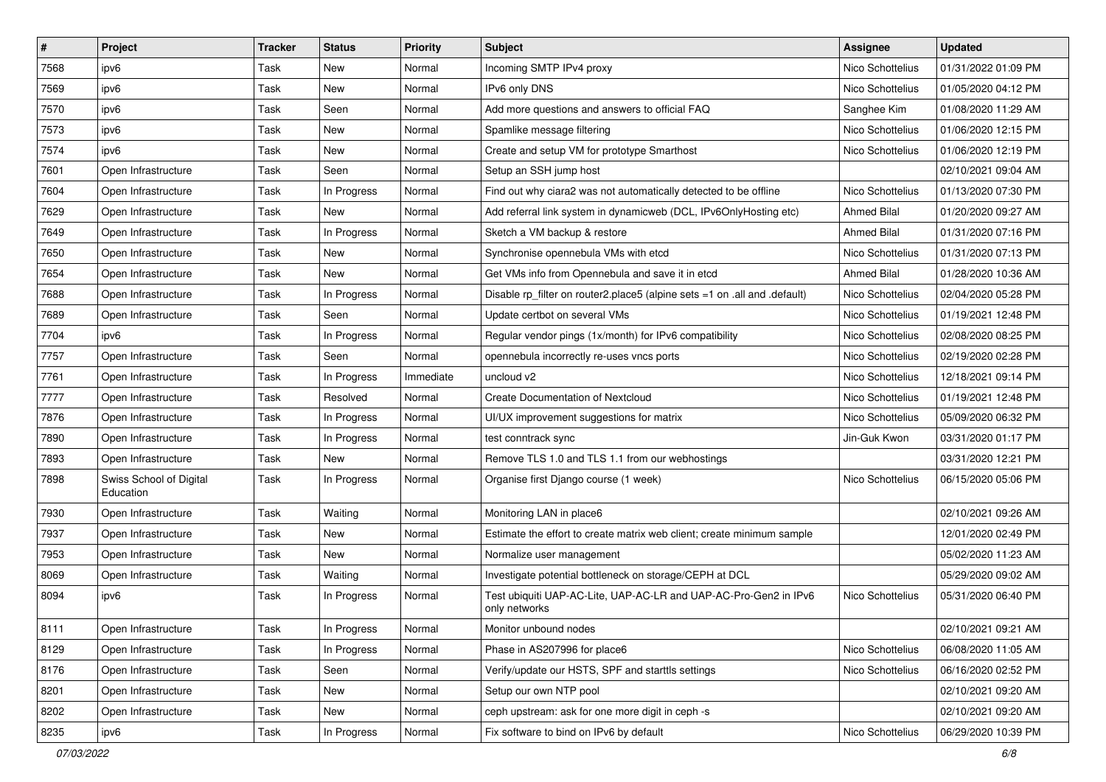| $\sharp$ | Project                              | <b>Tracker</b> | <b>Status</b> | <b>Priority</b> | Subject                                                                           | <b>Assignee</b>    | <b>Updated</b>      |
|----------|--------------------------------------|----------------|---------------|-----------------|-----------------------------------------------------------------------------------|--------------------|---------------------|
| 7568     | ipv6                                 | Task           | New           | Normal          | Incoming SMTP IPv4 proxy                                                          | Nico Schottelius   | 01/31/2022 01:09 PM |
| 7569     | ipv6                                 | Task           | New           | Normal          | IPv6 only DNS                                                                     | Nico Schottelius   | 01/05/2020 04:12 PM |
| 7570     | ipv6                                 | Task           | Seen          | Normal          | Add more questions and answers to official FAQ                                    | Sanghee Kim        | 01/08/2020 11:29 AM |
| 7573     | ipv6                                 | Task           | New           | Normal          | Spamlike message filtering                                                        | Nico Schottelius   | 01/06/2020 12:15 PM |
| 7574     | ipv6                                 | Task           | New           | Normal          | Create and setup VM for prototype Smarthost                                       | Nico Schottelius   | 01/06/2020 12:19 PM |
| 7601     | Open Infrastructure                  | Task           | Seen          | Normal          | Setup an SSH jump host                                                            |                    | 02/10/2021 09:04 AM |
| 7604     | Open Infrastructure                  | Task           | In Progress   | Normal          | Find out why ciara2 was not automatically detected to be offline                  | Nico Schottelius   | 01/13/2020 07:30 PM |
| 7629     | Open Infrastructure                  | Task           | New           | Normal          | Add referral link system in dynamicweb (DCL, IPv6OnlyHosting etc)                 | <b>Ahmed Bilal</b> | 01/20/2020 09:27 AM |
| 7649     | Open Infrastructure                  | Task           | In Progress   | Normal          | Sketch a VM backup & restore                                                      | <b>Ahmed Bilal</b> | 01/31/2020 07:16 PM |
| 7650     | Open Infrastructure                  | Task           | New           | Normal          | Synchronise opennebula VMs with etcd                                              | Nico Schottelius   | 01/31/2020 07:13 PM |
| 7654     | Open Infrastructure                  | Task           | New           | Normal          | Get VMs info from Opennebula and save it in etcd                                  | <b>Ahmed Bilal</b> | 01/28/2020 10:36 AM |
| 7688     | Open Infrastructure                  | Task           | In Progress   | Normal          | Disable rp_filter on router2.place5 (alpine sets =1 on .all and .default)         | Nico Schottelius   | 02/04/2020 05:28 PM |
| 7689     | Open Infrastructure                  | Task           | Seen          | Normal          | Update certbot on several VMs                                                     | Nico Schottelius   | 01/19/2021 12:48 PM |
| 7704     | ipv6                                 | Task           | In Progress   | Normal          | Regular vendor pings (1x/month) for IPv6 compatibility                            | Nico Schottelius   | 02/08/2020 08:25 PM |
| 7757     | Open Infrastructure                  | Task           | Seen          | Normal          | opennebula incorrectly re-uses vncs ports                                         | Nico Schottelius   | 02/19/2020 02:28 PM |
| 7761     | Open Infrastructure                  | Task           | In Progress   | Immediate       | uncloud v2                                                                        | Nico Schottelius   | 12/18/2021 09:14 PM |
| 7777     | Open Infrastructure                  | Task           | Resolved      | Normal          | <b>Create Documentation of Nextcloud</b>                                          | Nico Schottelius   | 01/19/2021 12:48 PM |
| 7876     | Open Infrastructure                  | Task           | In Progress   | Normal          | UI/UX improvement suggestions for matrix                                          | Nico Schottelius   | 05/09/2020 06:32 PM |
| 7890     | Open Infrastructure                  | Task           | In Progress   | Normal          | test conntrack sync                                                               | Jin-Guk Kwon       | 03/31/2020 01:17 PM |
| 7893     | Open Infrastructure                  | Task           | <b>New</b>    | Normal          | Remove TLS 1.0 and TLS 1.1 from our webhostings                                   |                    | 03/31/2020 12:21 PM |
| 7898     | Swiss School of Digital<br>Education | Task           | In Progress   | Normal          | Organise first Django course (1 week)                                             | Nico Schottelius   | 06/15/2020 05:06 PM |
| 7930     | Open Infrastructure                  | Task           | Waiting       | Normal          | Monitoring LAN in place6                                                          |                    | 02/10/2021 09:26 AM |
| 7937     | Open Infrastructure                  | Task           | New           | Normal          | Estimate the effort to create matrix web client; create minimum sample            |                    | 12/01/2020 02:49 PM |
| 7953     | Open Infrastructure                  | Task           | New           | Normal          | Normalize user management                                                         |                    | 05/02/2020 11:23 AM |
| 8069     | Open Infrastructure                  | Task           | Waiting       | Normal          | Investigate potential bottleneck on storage/CEPH at DCL                           |                    | 05/29/2020 09:02 AM |
| 8094     | ipv6                                 | Task           | In Progress   | Normal          | Test ubiquiti UAP-AC-Lite, UAP-AC-LR and UAP-AC-Pro-Gen2 in IPv6<br>only networks | Nico Schottelius   | 05/31/2020 06:40 PM |
| 8111     | Open Infrastructure                  | Task           | In Progress   | Normal          | Monitor unbound nodes                                                             |                    | 02/10/2021 09:21 AM |
| 8129     | Open Infrastructure                  | Task           | In Progress   | Normal          | Phase in AS207996 for place6                                                      | Nico Schottelius   | 06/08/2020 11:05 AM |
| 8176     | Open Infrastructure                  | Task           | Seen          | Normal          | Verify/update our HSTS, SPF and starttls settings                                 | Nico Schottelius   | 06/16/2020 02:52 PM |
| 8201     | Open Infrastructure                  | Task           | New           | Normal          | Setup our own NTP pool                                                            |                    | 02/10/2021 09:20 AM |
| 8202     | Open Infrastructure                  | Task           | New           | Normal          | ceph upstream: ask for one more digit in ceph -s                                  |                    | 02/10/2021 09:20 AM |
| 8235     | ipv6                                 | Task           | In Progress   | Normal          | Fix software to bind on IPv6 by default                                           | Nico Schottelius   | 06/29/2020 10:39 PM |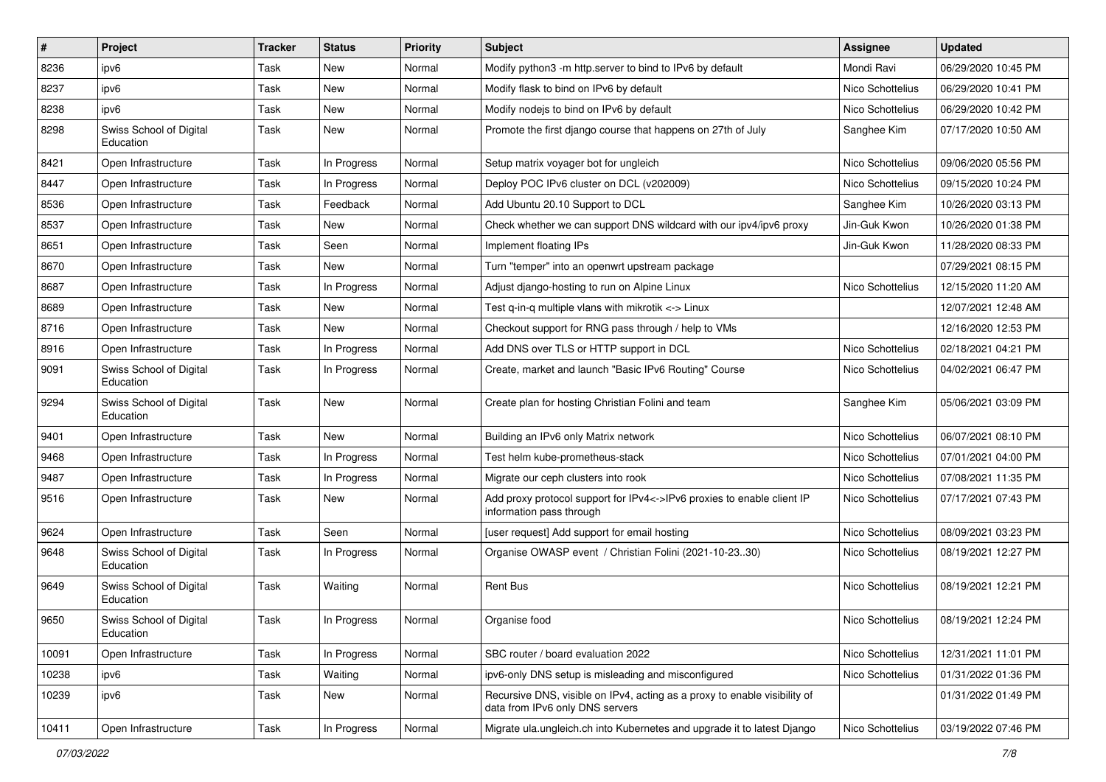| $\pmb{\sharp}$ | Project                              | <b>Tracker</b> | <b>Status</b> | <b>Priority</b> | <b>Subject</b>                                                                                               | <b>Assignee</b>  | <b>Updated</b>      |
|----------------|--------------------------------------|----------------|---------------|-----------------|--------------------------------------------------------------------------------------------------------------|------------------|---------------------|
| 8236           | ipv6                                 | Task           | New           | Normal          | Modify python3 -m http.server to bind to IPv6 by default                                                     | Mondi Ravi       | 06/29/2020 10:45 PM |
| 8237           | ipv6                                 | Task           | New           | Normal          | Modify flask to bind on IPv6 by default                                                                      | Nico Schottelius | 06/29/2020 10:41 PM |
| 8238           | ipv6                                 | Task           | New           | Normal          | Modify nodejs to bind on IPv6 by default                                                                     | Nico Schottelius | 06/29/2020 10:42 PM |
| 8298           | Swiss School of Digital<br>Education | Task           | New           | Normal          | Promote the first django course that happens on 27th of July                                                 | Sanghee Kim      | 07/17/2020 10:50 AM |
| 8421           | Open Infrastructure                  | Task           | In Progress   | Normal          | Setup matrix voyager bot for ungleich                                                                        | Nico Schottelius | 09/06/2020 05:56 PM |
| 8447           | Open Infrastructure                  | Task           | In Progress   | Normal          | Deploy POC IPv6 cluster on DCL (v202009)                                                                     | Nico Schottelius | 09/15/2020 10:24 PM |
| 8536           | Open Infrastructure                  | Task           | Feedback      | Normal          | Add Ubuntu 20.10 Support to DCL                                                                              | Sanghee Kim      | 10/26/2020 03:13 PM |
| 8537           | Open Infrastructure                  | Task           | New           | Normal          | Check whether we can support DNS wildcard with our ipv4/ipv6 proxy                                           | Jin-Guk Kwon     | 10/26/2020 01:38 PM |
| 8651           | Open Infrastructure                  | Task           | Seen          | Normal          | Implement floating IPs                                                                                       | Jin-Guk Kwon     | 11/28/2020 08:33 PM |
| 8670           | Open Infrastructure                  | Task           | New           | Normal          | Turn "temper" into an openwrt upstream package                                                               |                  | 07/29/2021 08:15 PM |
| 8687           | Open Infrastructure                  | Task           | In Progress   | Normal          | Adjust django-hosting to run on Alpine Linux                                                                 | Nico Schottelius | 12/15/2020 11:20 AM |
| 8689           | Open Infrastructure                  | Task           | New           | Normal          | Test q-in-q multiple vlans with mikrotik <-> Linux                                                           |                  | 12/07/2021 12:48 AM |
| 8716           | Open Infrastructure                  | Task           | New           | Normal          | Checkout support for RNG pass through / help to VMs                                                          |                  | 12/16/2020 12:53 PM |
| 8916           | Open Infrastructure                  | Task           | In Progress   | Normal          | Add DNS over TLS or HTTP support in DCL                                                                      | Nico Schottelius | 02/18/2021 04:21 PM |
| 9091           | Swiss School of Digital<br>Education | Task           | In Progress   | Normal          | Create, market and launch "Basic IPv6 Routing" Course                                                        | Nico Schottelius | 04/02/2021 06:47 PM |
| 9294           | Swiss School of Digital<br>Education | Task           | <b>New</b>    | Normal          | Create plan for hosting Christian Folini and team                                                            | Sanghee Kim      | 05/06/2021 03:09 PM |
| 9401           | Open Infrastructure                  | Task           | <b>New</b>    | Normal          | Building an IPv6 only Matrix network                                                                         | Nico Schottelius | 06/07/2021 08:10 PM |
| 9468           | Open Infrastructure                  | Task           | In Progress   | Normal          | Test helm kube-prometheus-stack                                                                              | Nico Schottelius | 07/01/2021 04:00 PM |
| 9487           | Open Infrastructure                  | Task           | In Progress   | Normal          | Migrate our ceph clusters into rook                                                                          | Nico Schottelius | 07/08/2021 11:35 PM |
| 9516           | Open Infrastructure                  | Task           | New           | Normal          | Add proxy protocol support for IPv4<->IPv6 proxies to enable client IP<br>information pass through           | Nico Schottelius | 07/17/2021 07:43 PM |
| 9624           | Open Infrastructure                  | Task           | Seen          | Normal          | [user request] Add support for email hosting                                                                 | Nico Schottelius | 08/09/2021 03:23 PM |
| 9648           | Swiss School of Digital<br>Education | Task           | In Progress   | Normal          | Organise OWASP event / Christian Folini (2021-10-2330)                                                       | Nico Schottelius | 08/19/2021 12:27 PM |
| 9649           | Swiss School of Digital<br>Education | Task           | Waiting       | Normal          | <b>Rent Bus</b>                                                                                              | Nico Schottelius | 08/19/2021 12:21 PM |
| 9650           | Swiss School of Digital<br>Education | Task           | In Progress   | Normal          | Organise food                                                                                                | Nico Schottelius | 08/19/2021 12:24 PM |
| 10091          | Open Infrastructure                  | Task           | In Progress   | Normal          | SBC router / board evaluation 2022                                                                           | Nico Schottelius | 12/31/2021 11:01 PM |
| 10238          | ipv6                                 | Task           | Waiting       | Normal          | ipv6-only DNS setup is misleading and misconfigured                                                          | Nico Schottelius | 01/31/2022 01:36 PM |
| 10239          | ipv6                                 | Task           | New           | Normal          | Recursive DNS, visible on IPv4, acting as a proxy to enable visibility of<br>data from IPv6 only DNS servers |                  | 01/31/2022 01:49 PM |
| 10411          | Open Infrastructure                  | Task           | In Progress   | Normal          | Migrate ula.ungleich.ch into Kubernetes and upgrade it to latest Django                                      | Nico Schottelius | 03/19/2022 07:46 PM |